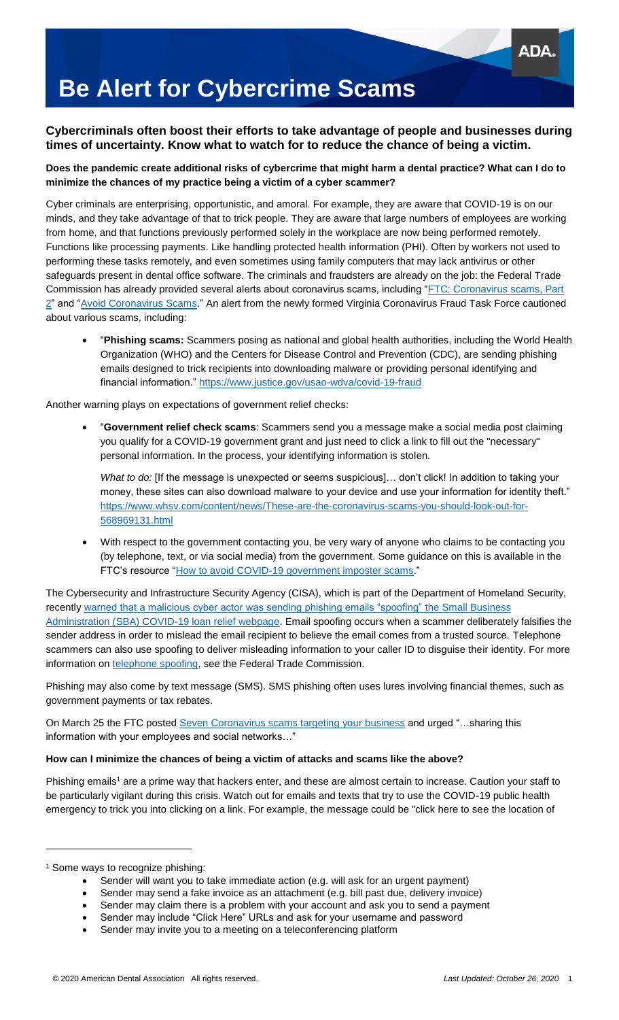# **Be Alert for Cybercrime Scams**

### **Cybercriminals often boost their efforts to take advantage of people and businesses during times of uncertainty. Know what to watch for to reduce the chance of being a victim.**

#### **Does the pandemic create additional risks of cybercrime that might harm a dental practice? What can I do to minimize the chances of my practice being a victim of a cyber scammer?**

Cyber criminals are enterprising, opportunistic, and amoral. For example, they are aware that COVID-19 is on our minds, and they take advantage of that to trick people. They are aware that large numbers of employees are working from home, and that functions previously performed solely in the workplace are now being performed remotely. Functions like processing payments. Like handling protected health information (PHI). Often by workers not used to performing these tasks remotely, and even sometimes using family computers that may lack antivirus or other safeguards present in dental office software. The criminals and fraudsters are already on the job: the Federal Trade Commission has already provided several alerts about coronavirus scams, including ["FTC: Coronavirus scams, Part](https://www.consumer.ftc.gov/blog/2020/03/ftc-coronavirus-scams-part-2)  [2"](https://www.consumer.ftc.gov/blog/2020/03/ftc-coronavirus-scams-part-2) and ["Avoid Coronavirus Scams.](https://www.ftc.gov/coronavirus/scams-consumer-advice)" An alert from the newly formed Virginia Coronavirus Fraud Task Force cautioned about various scams, including:

 "**Phishing scams:** Scammers posing as national and global health authorities, including the World Health Organization (WHO) and the Centers for Disease Control and Prevention (CDC), are sending phishing emails designed to trick recipients into downloading malware or providing personal identifying and financial information."<https://www.justice.gov/usao-wdva/covid-19-fraud>

Another warning plays on expectations of government relief checks:

 "**Government relief check scams**: Scammers send you a message make a social media post claiming you qualify for a COVID-19 government grant and just need to click a link to fill out the "necessary" personal information. In the process, your identifying information is stolen.

*What to do:* [If the message is unexpected or seems suspicious]… don't click! In addition to taking your money, these sites can also download malware to your device and use your information for identity theft." [https://www.whsv.com/content/news/These-are-the-coronavirus-scams-you-should-look-out-for-](https://www.whsv.com/content/news/These-are-the-coronavirus-scams-you-should-look-out-for-568969131.html)[568969131.html](https://www.whsv.com/content/news/These-are-the-coronavirus-scams-you-should-look-out-for-568969131.html)

 With respect to the government contacting you, be very wary of anyone who claims to be contacting you (by telephone, text, or via social media) from the government. Some guidance on this is available in the FTC's resource ["How to avoid COVID-19 government imposter scams.](https://www.consumer.ftc.gov/blog/2020/06/how-avoid-covid-19-government-imposter-scams)"

The Cybersecurity and Infrastructure Security Agency (CISA), which is part of the Department of Homeland Security, recently [warned that a malicious cyber actor was sending phishing emails "spoofing"](https://www.fcc.gov/consumers/guides/spoofing-and-caller-id) the Small Business Administration (SBA) [COVID-19 loan relief webpage.](https://www.fcc.gov/consumers/guides/spoofing-and-caller-id) Email spoofing occurs when a scammer deliberately falsifies the sender address in order to mislead the email recipient to believe the email comes from a trusted source. Telephone scammers can also use spoofing to deliver misleading information to your caller ID to disguise their identity. For more information on [telephone spoofing,](https://www.fcc.gov/consumers/guides/spoofing-and-caller-id) see the Federal Trade Commission.

Phishing may also come by text message (SMS). SMS phishing often uses lures involving financial themes, such as government payments or tax rebates.

On March 25 the FTC posted [Seven Coronavirus scams targeting your business](https://www.ftc.gov/news-events/blogs/business-blog/2020/03/seven-coronavirus-scams-targeting-your-business?utm_source=govdelivery) and urged "…sharing this information with your employees and social networks…"

#### **How can I minimize the chances of being a victim of attacks and scams like the above?**

Phishing emails<sup>1</sup> are a prime way that hackers enter, and these are almost certain to increase. Caution your staff to be particularly vigilant during this crisis. Watch out for emails and texts that try to use the COVID-19 public health emergency to trick you into clicking on a link. For example, the message could be "click here to see the location of

 $\overline{a}$ 

Sender may claim there is a problem with your account and ask you to send a payment

<sup>1</sup> Some ways to recognize phishing:

Sender will want you to take immediate action (e.g. will ask for an urgent payment)

Sender may send a fake invoice as an attachment (e.g. bill past due, delivery invoice)

Sender may include "Click Here" URLs and ask for your username and password

Sender may invite you to a meeting on a teleconferencing platform